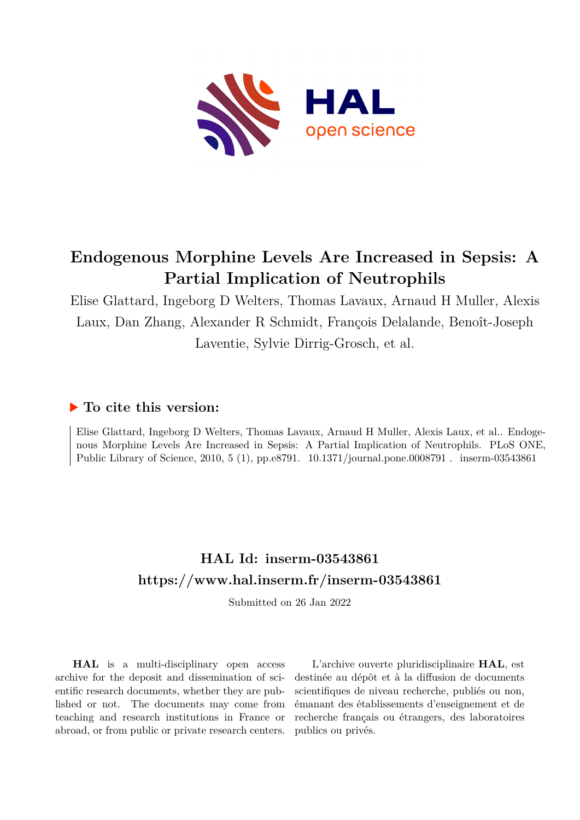

## **Endogenous Morphine Levels Are Increased in Sepsis: A Partial Implication of Neutrophils**

Elise Glattard, Ingeborg D Welters, Thomas Lavaux, Arnaud H Muller, Alexis Laux, Dan Zhang, Alexander R Schmidt, François Delalande, Benoît-Joseph Laventie, Sylvie Dirrig-Grosch, et al.

## **To cite this version:**

Elise Glattard, Ingeborg D Welters, Thomas Lavaux, Arnaud H Muller, Alexis Laux, et al.. Endogenous Morphine Levels Are Increased in Sepsis: A Partial Implication of Neutrophils. PLoS ONE, Public Library of Science, 2010, 5 (1), pp.e8791.  $10.1371/journal.pone.0008791$ . inserm-03543861

## **HAL Id: inserm-03543861 <https://www.hal.inserm.fr/inserm-03543861>**

Submitted on 26 Jan 2022

**HAL** is a multi-disciplinary open access archive for the deposit and dissemination of scientific research documents, whether they are published or not. The documents may come from teaching and research institutions in France or abroad, or from public or private research centers.

L'archive ouverte pluridisciplinaire **HAL**, est destinée au dépôt et à la diffusion de documents scientifiques de niveau recherche, publiés ou non, émanant des établissements d'enseignement et de recherche français ou étrangers, des laboratoires publics ou privés.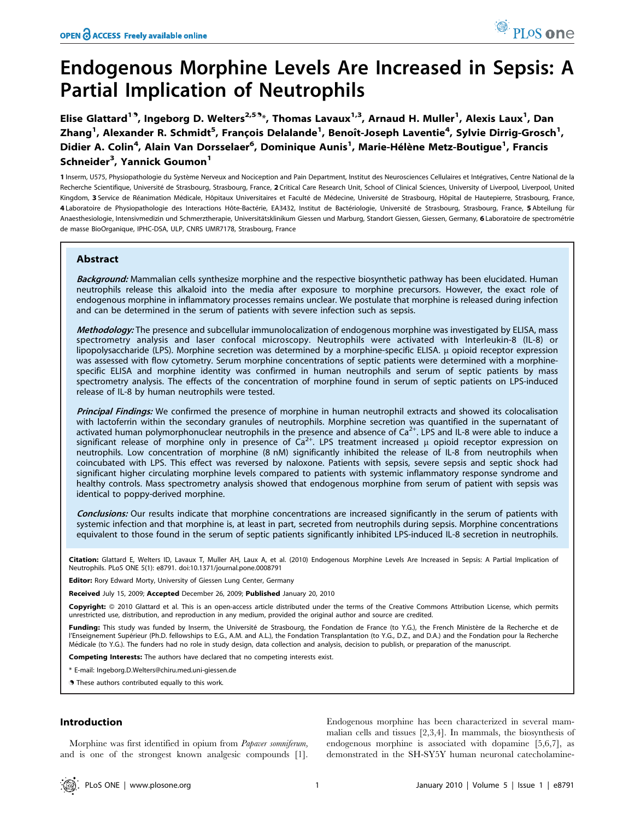# Endogenous Morphine Levels Are Increased in Sepsis: A Partial Implication of Neutrophils

Elise Glattard<sup>19</sup>, Ingeborg D. Welters<sup>2,59</sup>\*, Thomas Lavaux<sup>1,3</sup>, Arnaud H. Muller<sup>1</sup>, Alexis Laux<sup>1</sup>, Dan Zhang<sup>1</sup>, Alexander R. Schmidt<sup>5</sup>, François Delalande<sup>1</sup>, Benoît-Joseph Laventie<sup>4</sup>, Sylvie Dirrig-Grosch<sup>1</sup>, Didier A. Colin<sup>4</sup>, Alain Van Dorsselaer<sup>6</sup>, Dominique Aunis<sup>1</sup>, Marie-Hélène Metz-Boutigue<sup>1</sup>, Francis Schneider<sup>3</sup>, Yannick Goumon<sup>1</sup>

1 Inserm, U575, Physiopathologie du Système Nerveux and Nociception and Pain Department, Institut des Neurosciences Cellulaires et Intégratives, Centre National de la Recherche Scientifique, Université de Strasbourg, Strasbourg, France, 2 Critical Care Research Unit, School of Clinical Sciences, University of Liverpool, Liverpool, United Kingdom, 3 Service de Réanimation Médicale, Hôpitaux Universitaires et Faculté de Médecine, Université de Strasbourg, Hôpital de Hautepierre, Strasbourg, France, 4 Laboratoire de Physiopathologie des Interactions Hôte-Bactérie, EA3432, Institut de Bactériologie, Université de Strasbourg, Strasbourg, France, 5 Abteilung für Anaesthesiologie, Intensiymedizin und Schmerztherapie, Universitätsklinikum Giessen und Marburg, Standort Giessen, Gersen, Germany, 6 Laboratoire de spectrométrie de masse BioOrganique, IPHC-DSA, ULP, CNRS UMR7178, Strasbourg, France

## Abstract

Background: Mammalian cells synthesize morphine and the respective biosynthetic pathway has been elucidated. Human neutrophils release this alkaloid into the media after exposure to morphine precursors. However, the exact role of endogenous morphine in inflammatory processes remains unclear. We postulate that morphine is released during infection and can be determined in the serum of patients with severe infection such as sepsis.

Methodology: The presence and subcellular immunolocalization of endogenous morphine was investigated by ELISA, mass spectrometry analysis and laser confocal microscopy. Neutrophils were activated with Interleukin-8 (IL-8) or lipopolysaccharide (LPS). Morphine secretion was determined by a morphine-specific ELISA. µ opioid receptor expression was assessed with flow cytometry. Serum morphine concentrations of septic patients were determined with a morphinespecific ELISA and morphine identity was confirmed in human neutrophils and serum of septic patients by mass spectrometry analysis. The effects of the concentration of morphine found in serum of septic patients on LPS-induced release of IL-8 by human neutrophils were tested.

Principal Findings: We confirmed the presence of morphine in human neutrophil extracts and showed its colocalisation with lactoferrin within the secondary granules of neutrophils. Morphine secretion was quantified in the supernatant of activated human polymorphonuclear neutrophils in the presence and absence of Ca<sup>2+</sup>. LPS and IL-8 were able to induce a significant release of morphine only in presence of  $Ca^{2+}$ . LPS treatment increased  $\mu$  opioid receptor expression on neutrophils. Low concentration of morphine (8 nM) significantly inhibited the release of IL-8 from neutrophils when coincubated with LPS. This effect was reversed by naloxone. Patients with sepsis, severe sepsis and septic shock had significant higher circulating morphine levels compared to patients with systemic inflammatory response syndrome and healthy controls. Mass spectrometry analysis showed that endogenous morphine from serum of patient with sepsis was identical to poppy-derived morphine.

Conclusions: Our results indicate that morphine concentrations are increased significantly in the serum of patients with systemic infection and that morphine is, at least in part, secreted from neutrophils during sepsis. Morphine concentrations equivalent to those found in the serum of septic patients significantly inhibited LPS-induced IL-8 secretion in neutrophils.

Citation: Glattard E, Welters ID, Lavaux T, Muller AH, Laux A, et al. (2010) Endogenous Morphine Levels Are Increased in Sepsis: A Partial Implication of Neutrophils. PLoS ONE 5(1): e8791. doi:10.1371/journal.pone.0008791

Editor: Rory Edward Morty, University of Giessen Lung Center, Germany

Received July 15, 2009; Accepted December 26, 2009; Published January 20, 2010

Copyright: © 2010 Glattard et al. This is an open-access article distributed under the terms of the Creative Commons Attribution License, which permits unrestricted use, distribution, and reproduction in any medium, provided the original author and source are credited.

Funding: This study was funded by Inserm, the Université de Strasbourg, the Fondation de France (to Y.G.), the French Ministère de la Recherche et de l'Enseignement Supérieur (Ph.D. fellowships to E.G., A.M. and A.L.), the Fondation Transplantation (to Y.G., D.Z., and D.A.) and the Fondation pour la Recherche Médicale (to Y.G.). The funders had no role in study design, data collection and analysis, decision to publish, or preparation of the manuscript.

Competing Interests: The authors have declared that no competing interests exist.

\* E-mail: Ingeborg.D.Welters@chiru.med.uni-giessen.de

**.** These authors contributed equally to this work.

## Introduction

Morphine was first identified in opium from Papaver somniferum, and is one of the strongest known analgesic compounds [1].

Endogenous morphine has been characterized in several mammalian cells and tissues [2,3,4]. In mammals, the biosynthesis of endogenous morphine is associated with dopamine [5,6,7], as demonstrated in the SH-SY5Y human neuronal catecholamine-

PLos one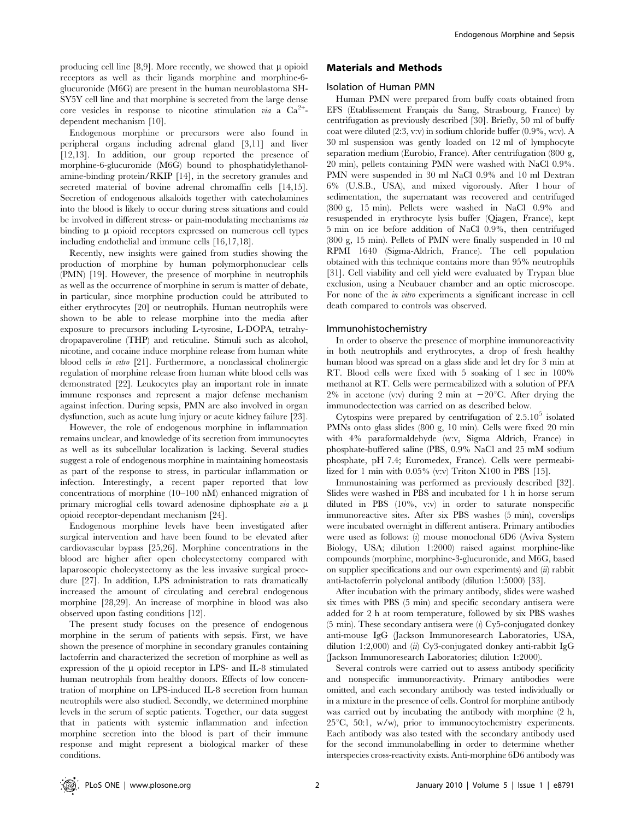producing cell line [8,9]. More recently, we showed that  $\mu$  opioid receptors as well as their ligands morphine and morphine-6 glucuronide (M6G) are present in the human neuroblastoma SH-SY5Y cell line and that morphine is secreted from the large dense core vesicles in response to nicotine stimulation *via* a  $Ca^{2+}$ dependent mechanism [10].

Endogenous morphine or precursors were also found in peripheral organs including adrenal gland [3,11] and liver [12,13]. In addition, our group reported the presence of morphine-6-glucuronide (M6G) bound to phosphatidylethanolamine-binding protein/RKIP [14], in the secretory granules and secreted material of bovine adrenal chromaffin cells [14,15]. Secretion of endogenous alkaloids together with catecholamines into the blood is likely to occur during stress situations and could be involved in different stress- or pain-modulating mechanisms via binding to  $\mu$  opioid receptors expressed on numerous cell types including endothelial and immune cells [16,17,18].

Recently, new insights were gained from studies showing the production of morphine by human polymorphonuclear cells (PMN) [19]. However, the presence of morphine in neutrophils as well as the occurrence of morphine in serum is matter of debate, in particular, since morphine production could be attributed to either erythrocytes [20] or neutrophils. Human neutrophils were shown to be able to release morphine into the media after exposure to precursors including L-tyrosine, L-DOPA, tetrahydropapaveroline (THP) and reticuline. Stimuli such as alcohol, nicotine, and cocaine induce morphine release from human white blood cells in vitro [21]. Furthermore, a nonclassical cholinergic regulation of morphine release from human white blood cells was demonstrated [22]. Leukocytes play an important role in innate immune responses and represent a major defense mechanism against infection. During sepsis, PMN are also involved in organ dysfunction, such as acute lung injury or acute kidney failure [23].

However, the role of endogenous morphine in inflammation remains unclear, and knowledge of its secretion from immunocytes as well as its subcellular localization is lacking. Several studies suggest a role of endogenous morphine in maintaining homeostasis as part of the response to stress, in particular inflammation or infection. Interestingly, a recent paper reported that low concentrations of morphine (10–100 nM) enhanced migration of primary microglial cells toward adenosine diphosphate via a  $\mu$ opioid receptor-dependant mechanism [24].

Endogenous morphine levels have been investigated after surgical intervention and have been found to be elevated after cardiovascular bypass [25,26]. Morphine concentrations in the blood are higher after open cholecystectomy compared with laparoscopic cholecystectomy as the less invasive surgical procedure [27]. In addition, LPS administration to rats dramatically increased the amount of circulating and cerebral endogenous morphine [28,29]. An increase of morphine in blood was also observed upon fasting conditions [12].

The present study focuses on the presence of endogenous morphine in the serum of patients with sepsis. First, we have shown the presence of morphine in secondary granules containing lactoferrin and characterized the secretion of morphine as well as expression of the  $\mu$  opioid receptor in LPS- and IL-8 stimulated human neutrophils from healthy donors. Effects of low concentration of morphine on LPS-induced IL-8 secretion from human neutrophils were also studied. Secondly, we determined morphine levels in the serum of septic patients. Together, our data suggest that in patients with systemic inflammation and infection morphine secretion into the blood is part of their immune response and might represent a biological marker of these conditions.

## Materials and Methods

#### Isolation of Human PMN

Human PMN were prepared from buffy coats obtained from EFS (Etablissement Français du Sang, Strasbourg, France) by centrifugation as previously described [30]. Briefly, 50 ml of buffy coat were diluted (2:3, v:v) in sodium chloride buffer (0.9%, w:v). A 30 ml suspension was gently loaded on 12 ml of lymphocyte separation medium (Eurobio, France). After centrifugation (800 g, 20 min), pellets containing PMN were washed with NaCl 0.9%. PMN were suspended in 30 ml NaCl 0.9% and 10 ml Dextran 6% (U.S.B., USA), and mixed vigorously. After 1 hour of sedimentation, the supernatant was recovered and centrifuged (800 g, 15 min). Pellets were washed in NaCl 0.9% and resuspended in erythrocyte lysis buffer (Qiagen, France), kept 5 min on ice before addition of NaCl 0.9%, then centrifuged (800 g, 15 min). Pellets of PMN were finally suspended in 10 ml RPMI 1640 (Sigma-Aldrich, France). The cell population obtained with this technique contains more than 95% neutrophils [31]. Cell viability and cell yield were evaluated by Trypan blue exclusion, using a Neubauer chamber and an optic microscope. For none of the in vitro experiments a significant increase in cell death compared to controls was observed.

#### Immunohistochemistry

In order to observe the presence of morphine immunoreactivity in both neutrophils and erythrocytes, a drop of fresh healthy human blood was spread on a glass slide and let dry for 3 min at RT. Blood cells were fixed with 5 soaking of 1 sec in 100% methanol at RT. Cells were permeabilized with a solution of PFA 2% in acetone (v:v) during 2 min at  $-20^{\circ}$ C. After drying the immunodectection was carried on as described below.

Cytospins were prepared by centrifugation of  $2.5.10<sup>5</sup>$  isolated PMNs onto glass slides (800 g, 10 min). Cells were fixed 20 min with 4% paraformaldehyde (w:v, Sigma Aldrich, France) in phosphate-buffered saline (PBS, 0.9% NaCl and 25 mM sodium phosphate, pH 7.4; Euromedex, France). Cells were permeabilized for 1 min with  $0.05\%$  (v:v) Triton X100 in PBS [15].

Immunostaining was performed as previously described [32]. Slides were washed in PBS and incubated for 1 h in horse serum diluted in PBS (10%, v:v) in order to saturate nonspecific immunoreactive sites. After six PBS washes (5 min), coverslips were incubated overnight in different antisera. Primary antibodies were used as follows: (i) mouse monoclonal 6D6 (Aviva System Biology, USA; dilution 1:2000) raised against morphine-like compounds (morphine, morphine-3-glucuronide, and M6G, based on supplier specifications and our own experiments) and  $(ii)$  rabbit anti-lactoferrin polyclonal antibody (dilution 1:5000) [33].

After incubation with the primary antibody, slides were washed six times with PBS (5 min) and specific secondary antisera were added for 2 h at room temperature, followed by six PBS washes  $(5 \text{ min})$ . These secondary antisera were  $(i)$  Cy5-conjugated donkey anti-mouse IgG (Jackson Immunoresearch Laboratories, USA, dilution 1:2,000) and (ii) Cy3-conjugated donkey anti-rabbit IgG (Jackson Immunoresearch Laboratories; dilution 1:2000).

Several controls were carried out to assess antibody specificity and nonspecific immunoreactivity. Primary antibodies were omitted, and each secondary antibody was tested individually or in a mixture in the presence of cells. Control for morphine antibody was carried out by incubating the antibody with morphine (2 h,  $25^{\circ}$ C, 50:1, w/w), prior to immunocytochemistry experiments. Each antibody was also tested with the secondary antibody used for the second immunolabelling in order to determine whether interspecies cross-reactivity exists. Anti-morphine 6D6 antibody was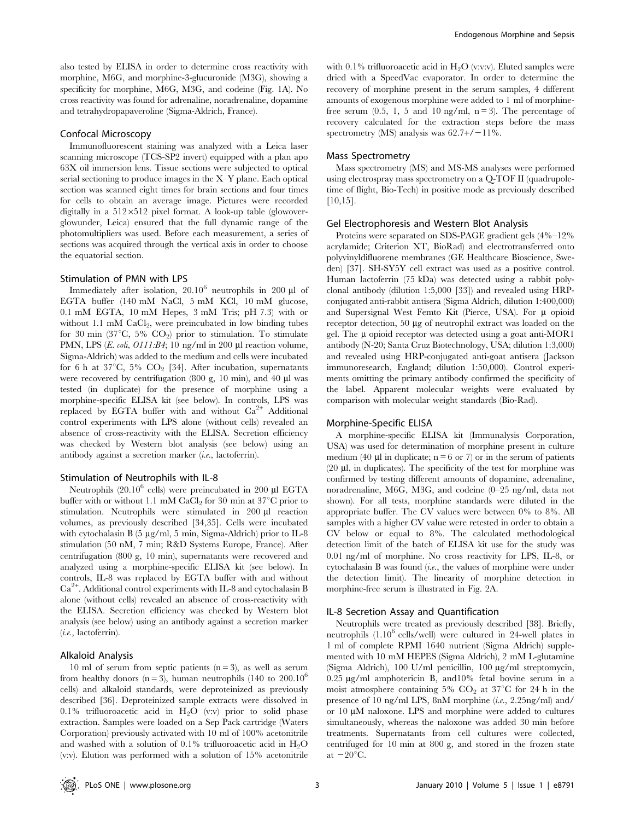also tested by ELISA in order to determine cross reactivity with morphine, M6G, and morphine-3-glucuronide (M3G), showing a specificity for morphine, M6G, M3G, and codeine (Fig. 1A). No cross reactivity was found for adrenaline, noradrenaline, dopamine and tetrahydropapaveroline (Sigma-Aldrich, France).

## Confocal Microscopy

Immunofluorescent staining was analyzed with a Leica laser scanning microscope (TCS-SP2 invert) equipped with a plan apo 63X oil immersion lens. Tissue sections were subjected to optical serial sectioning to produce images in the X–Y plane. Each optical section was scanned eight times for brain sections and four times for cells to obtain an average image. Pictures were recorded digitally in a 512×512 pixel format. A look-up table (glowoverglowunder, Leica) ensured that the full dynamic range of the photomultipliers was used. Before each measurement, a series of sections was acquired through the vertical axis in order to choose the equatorial section.

## Stimulation of PMN with LPS

Immediately after isolation,  $20.10^6$  neutrophils in 200 ul of EGTA buffer (140 mM NaCl, 5 mM KCl, 10 mM glucose, 0.1 mM EGTA, 10 mM Hepes, 3 mM Tris; pH 7.3) with or without 1.1 mM  $CaCl<sub>2</sub>$ , were preincubated in low binding tubes for 30 min (37 $\mathrm{^{\circ}C}$ , 5%  $\mathrm{CO}_{2}$ ) prior to stimulation. To stimulate PMN, LPS (E. coli, O111:B4; 10 ng/ml in 200 µl reaction volume, Sigma-Aldrich) was added to the medium and cells were incubated for 6 h at  $37^{\circ}$ C,  $5\%$  CO<sub>2</sub> [34]. After incubation, supernatants were recovered by centrifugation (800 g, 10 min), and 40  $\mu$ l was tested (in duplicate) for the presence of morphine using a morphine-specific ELISA kit (see below). In controls, LPS was replaced by EGTA buffer with and without  $Ca^{2+}$  Additional control experiments with LPS alone (without cells) revealed an absence of cross-reactivity with the ELISA. Secretion efficiency was checked by Western blot analysis (see below) using an antibody against a secretion marker (i.e., lactoferrin).

#### Stimulation of Neutrophils with IL-8

Neutrophils  $(20.10^6 \text{ cells})$  were preincubated in 200 µl EGTA buffer with or without 1.1 mM CaCl<sub>2</sub> for 30 min at  $37^{\circ}$ C prior to stimulation. Neutrophils were stimulated in 200 µl reaction volumes, as previously described [34,35]. Cells were incubated with cytochalasin B (5 µg/ml, 5 min, Sigma-Aldrich) prior to IL-8 stimulation (50 nM, 7 min; R&D Systems Europe, France). After centrifugation (800 g, 10 min), supernatants were recovered and analyzed using a morphine-specific ELISA kit (see below). In controls, IL-8 was replaced by EGTA buffer with and without Ca<sup>2+</sup>. Additional control experiments with IL-8 and cytochalasin B alone (without cells) revealed an absence of cross-reactivity with the ELISA. Secretion efficiency was checked by Western blot analysis (see below) using an antibody against a secretion marker (i.e., lactoferrin).

### Alkaloid Analysis

10 ml of serum from septic patients  $(n=3)$ , as well as serum from healthy donors ( $n = 3$ ), human neutrophils (140 to 200.10<sup>6</sup>) cells) and alkaloid standards, were deproteinized as previously described [36]. Deproteinized sample extracts were dissolved in 0.1% trifluoroacetic acid in  $H_2O$  (v:v) prior to solid phase extraction. Samples were loaded on a Sep Pack cartridge (Waters Corporation) previously activated with 10 ml of 100% acetonitrile and washed with a solution of 0.1% trifluoroacetic acid in  $H_2O$ (v:v). Elution was performed with a solution of 15% acetonitrile

with 0.1% trifluoroacetic acid in  $H_2O$  (v:v:v). Eluted samples were dried with a SpeedVac evaporator. In order to determine the recovery of morphine present in the serum samples, 4 different amounts of exogenous morphine were added to 1 ml of morphinefree serum  $(0.5, 1, 5, 1)$  and  $10 \text{ ng/ml}, n = 3$ . The percentage of recovery calculated for the extraction steps before the mass spectrometry (MS) analysis was  $62.7+/-11\%$ .

## Mass Spectrometry

Mass spectrometry (MS) and MS-MS analyses were performed using electrospray mass spectrometry on a Q-TOF II (quadrupoletime of flight, Bio-Tech) in positive mode as previously described [10,15].

#### Gel Electrophoresis and Western Blot Analysis

Proteins were separated on SDS-PAGE gradient gels (4%–12% acrylamide; Criterion XT, BioRad) and electrotransferred onto polyvinyldifluorene membranes (GE Healthcare Bioscience, Sweden) [37]. SH-SY5Y cell extract was used as a positive control. Human lactoferrin (75 kDa) was detected using a rabbit polyclonal antibody (dilution 1:5,000 [33]) and revealed using HRPconjugated anti-rabbit antisera (Sigma Aldrich, dilution 1:400,000) and Supersignal West Femto Kit (Pierce, USA). For  $\mu$  opioid receptor detection, 50 µg of neutrophil extract was loaded on the gel. The  $\mu$  opioid receptor was detected using a goat anti-MOR1 antibody (N-20; Santa Cruz Biotechnology, USA; dilution 1:3,000) and revealed using HRP-conjugated anti-goat antisera (Jackson immunoresearch, England; dilution 1:50,000). Control experiments omitting the primary antibody confirmed the specificity of the label. Apparent molecular weights were evaluated by comparison with molecular weight standards (Bio-Rad).

## Morphine-Specific ELISA

A morphine-specific ELISA kit (Immunalysis Corporation, USA) was used for determination of morphine present in culture medium (40  $\mu$ l in duplicate; n = 6 or 7) or in the serum of patients  $(20 \mu l, \text{in duplicates})$ . The specificity of the test for morphine was confirmed by testing different amounts of dopamine, adrenaline, noradrenaline, M6G, M3G, and codeine (0–25 ng/ml, data not shown). For all tests, morphine standards were diluted in the appropriate buffer. The CV values were between 0% to 8%. All samples with a higher CV value were retested in order to obtain a CV below or equal to 8%. The calculated methodological detection limit of the batch of ELISA kit use for the study was 0.01 ng/ml of morphine. No cross reactivity for LPS, IL-8, or cytochalasin B was found  $(i.e.,$  the values of morphine were under the detection limit). The linearity of morphine detection in morphine-free serum is illustrated in Fig. 2A.

### IL-8 Secretion Assay and Quantification

Neutrophils were treated as previously described [38]. Briefly, neutrophils  $(1.10^6 \text{ cells/well})$  were cultured in 24-well plates in 1 ml of complete RPMI 1640 nutrient (Sigma Aldrich) supplemented with 10 mM HEPES (Sigma Aldrich), 2 mM L-glutamine (Sigma Aldrich), 100 U/ml penicillin, 100 mg/ml streptomycin, 0.25 mg/ml amphotericin B, and10% fetal bovine serum in a moist atmosphere containing 5%  $CO<sub>2</sub>$  at 37°C for 24 h in the presence of 10 ng/ml LPS, 8nM morphine (i.e., 2.25ng/ml) and/ or  $10 \mu M$  naloxone. LPS and morphine were added to cultures simultaneously, whereas the naloxone was added 30 min before treatments. Supernatants from cell cultures were collected, centrifuged for 10 min at 800 g, and stored in the frozen state at  $-20^{\circ}$ C.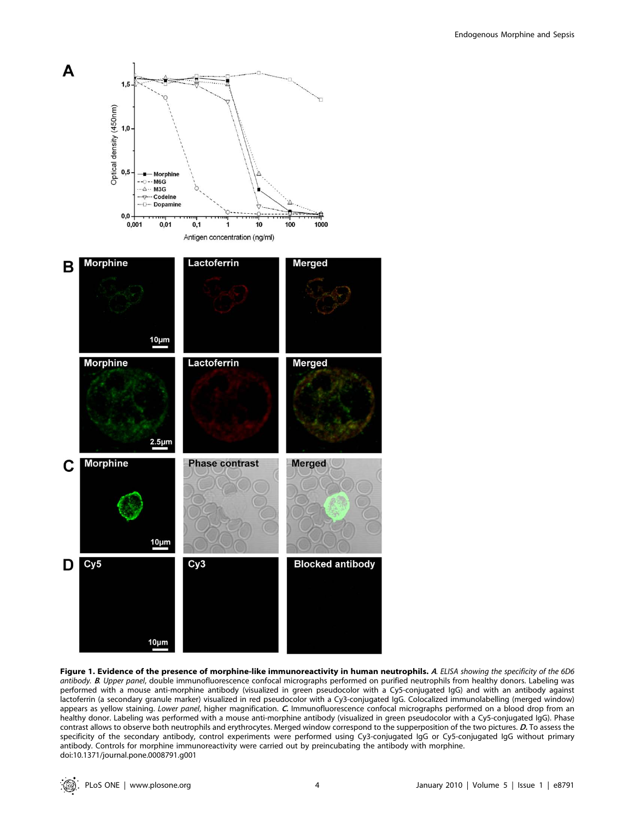

Figure 1. Evidence of the presence of morphine-like immunoreactivity in human neutrophils. A. ELISA showing the specificity of the 6D6 antibody. B. Upper panel, double immunofluorescence confocal micrographs performed on purified neutrophils from healthy donors. Labeling was performed with a mouse anti-morphine antibody (visualized in green pseudocolor with a Cy5-conjugated IgG) and with an antibody against lactoferrin (a secondary granule marker) visualized in red pseudocolor with a Cy3-conjugated IgG. Colocalized immunolabelling (merged window) appears as yellow staining. Lower panel, higher magnification. C. Immunofluorescence confocal micrographs performed on a blood drop from an healthy donor. Labeling was performed with a mouse anti-morphine antibody (visualized in green pseudocolor with a Cy5-conjugated IgG). Phase contrast allows to observe both neutrophils and erythrocytes. Merged window correspond to the supperposition of the two pictures. D. To assess the specificity of the secondary antibody, control experiments were performed using Cy3-conjugated IgG or Cy5-conjugated IgG without primary antibody. Controls for morphine immunoreactivity were carried out by preincubating the antibody with morphine. doi:10.1371/journal.pone.0008791.g001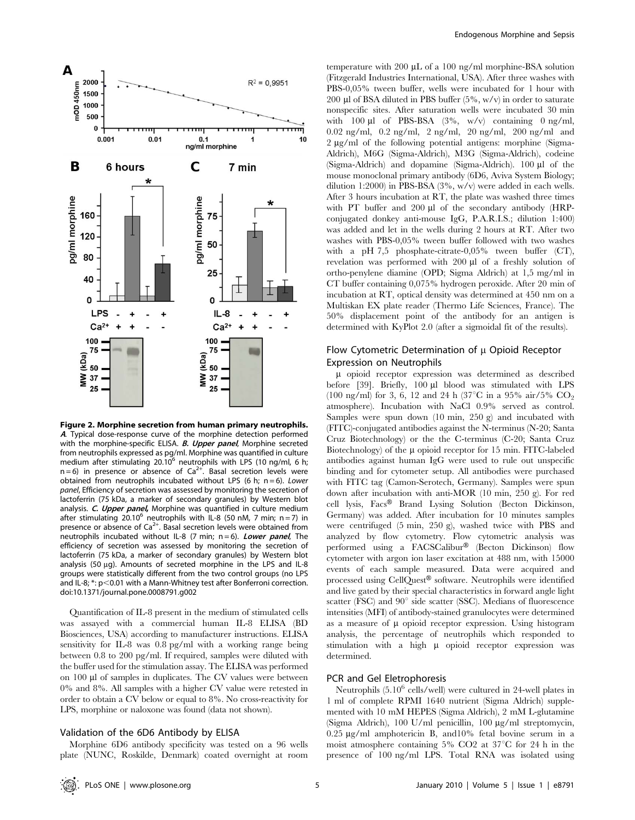

Figure 2. Morphine secretion from human primary neutrophils. <sup>A</sup>. Typical dose-response curve of the morphine detection performed with the morphine-specific ELISA. **B. Upper panel**, Morphine secreted from neutrophils expressed as pg/ml. Morphine was quantified in culture medium after stimulating 20.10 $^6$  neutrophils with LPS (10 ng/ml, 6 h;  $n=6$ ) in presence or absence of Ca<sup>2+</sup>. Basal secretion levels were obtained from neutrophils incubated without LPS (6 h;  $n = 6$ ). Lower panel, Efficiency of secretion was assessed by monitoring the secretion of lactoferrin (75 kDa, a marker of secondary granules) by Western blot analysis. C. Upper panel, Morphine was quantified in culture medium after stimulating 20.10<sup>6</sup> neutrophils with IL-8 (50 nM, 7 min; n = 7) in presence or absence of  $Ca^{2+}$ . Basal secretion levels were obtained from neutrophils incubated without IL-8 (7 min;  $n = 6$ ). Lower panel, The efficiency of secretion was assessed by monitoring the secretion of lactoferrin (75 kDa, a marker of secondary granules) by Western blot analysis (50  $\mu$ g). Amounts of secreted morphine in the LPS and IL-8 groups were statistically different from the two control groups (no LPS and IL-8;  $*$ :  $p<0.01$  with a Mann-Whitney test after Bonferroni correction. doi:10.1371/journal.pone.0008791.g002

Quantification of IL-8 present in the medium of stimulated cells was assayed with a commercial human IL-8 ELISA (BD Biosciences, USA) according to manufacturer instructions. ELISA sensitivity for IL-8 was 0.8 pg/ml with a working range being between 0.8 to 200 pg/ml. If required, samples were diluted with the buffer used for the stimulation assay. The ELISA was performed on 100 µl of samples in duplicates. The CV values were between 0% and 8%. All samples with a higher CV value were retested in order to obtain a CV below or equal to 8%. No cross-reactivity for LPS, morphine or naloxone was found (data not shown).

### Validation of the 6D6 Antibody by ELISA

Morphine 6D6 antibody specificity was tested on a 96 wells plate (NUNC, Roskilde, Denmark) coated overnight at room temperature with 200  $\mu$ L of a 100 ng/ml morphine-BSA solution (Fitzgerald Industries International, USA). After three washes with PBS-0,05% tween buffer, wells were incubated for 1 hour with 200 µl of BSA diluted in PBS buffer  $(5\%, w/v)$  in order to saturate nonspecific sites. After saturation wells were incubated 30 min with  $100 \mu l$  of PBS-BSA  $(3\%, w/v)$  containing 0 ng/ml, 0.02 ng/ml, 0.2 ng/ml, 2 ng/ml, 20 ng/ml, 200 ng/ml and 2 ug/ml of the following potential antigens: morphine (Sigma-Aldrich), M6G (Sigma-Aldrich), M3G (Sigma-Aldrich), codeine (Sigma-Aldrich) and dopamine (Sigma-Aldrich). 100  $\mu$ l of the mouse monoclonal primary antibody (6D6, Aviva System Biology; dilution 1:2000) in PBS-BSA (3%, w/v) were added in each wells. After 3 hours incubation at RT, the plate was washed three times with PT buffer and  $200 \mu l$  of the secondary antibody (HRPconjugated donkey anti-mouse IgG, P.A.R.I.S.; dilution 1:400) was added and let in the wells during 2 hours at RT. After two washes with PBS-0,05% tween buffer followed with two washes with a pH 7,5 phosphate-citrate-0,05% tween buffer (CT), revelation was performed with 200 µl of a freshly solution of ortho-penylene diamine (OPD; Sigma Aldrich) at 1,5 mg/ml in CT buffer containing 0,075% hydrogen peroxide. After 20 min of incubation at RT, optical density was determined at 450 nm on a Multiskan EX plate reader (Thermo Life Sciences, France). The 50% displacement point of the antibody for an antigen is determined with KyPlot 2.0 (after a sigmoidal fit of the results).

## Flow Cytometric Determination of  $\mu$  Opioid Receptor Expression on Neutrophils

 $\mu$  opioid receptor expression was determined as described before [39]. Briefly, 100 µl blood was stimulated with LPS (100 ng/ml) for 3, 6, 12 and 24 h (37 $^{\circ}$ C in a 95% air/5% CO<sub>2</sub> atmosphere). Incubation with NaCl 0.9% served as control. Samples were spun down (10 min, 250 g) and incubated with (FITC)-conjugated antibodies against the N-terminus (N-20; Santa Cruz Biotechnology) or the the C-terminus (C-20; Santa Cruz Biotechnology) of the  $\mu$  opioid receptor for 15 min. FITC-labeled antibodies against human IgG were used to rule out unspecific binding and for cytometer setup. All antibodies were purchased with FITC tag (Camon-Serotech, Germany). Samples were spun down after incubation with anti-MOR (10 min, 250 g). For red cell lysis, Facs® Brand Lysing Solution (Becton Dickinson, Germany) was added. After incubation for 10 minutes samples were centrifuged (5 min, 250 g), washed twice with PBS and analyzed by flow cytometry. Flow cytometric analysis was performed using a FACSCalibur® (Becton Dickinson) flow cytometer with argon ion laser excitation at 488 nm, with 15000 events of each sample measured. Data were acquired and processed using CellQuest® software. Neutrophils were identified and live gated by their special characteristics in forward angle light scatter (FSC) and  $90^{\circ}$  side scatter (SSC). Medians of fluorescence intensities (MFI) of antibody-stained granulocytes were determined as a measure of  $\mu$  opioid receptor expression. Using histogram analysis, the percentage of neutrophils which responded to stimulation with a high  $\mu$  opioid receptor expression was determined.

## PCR and Gel Eletrophoresis

Neutrophils  $(5.10^6 \text{ cells/well})$  were cultured in 24-well plates in 1 ml of complete RPMI 1640 nutrient (Sigma Aldrich) supplemented with 10 mM HEPES (Sigma Aldrich), 2 mM L-glutamine (Sigma Aldrich), 100 U/ml penicillin, 100 mg/ml streptomycin, 0.25  $\mu$ g/ml amphotericin B, and 10% fetal bovine serum in a moist atmosphere containing 5% CO2 at  $37^{\circ}$ C for 24 h in the presence of 100 ng/ml LPS. Total RNA was isolated using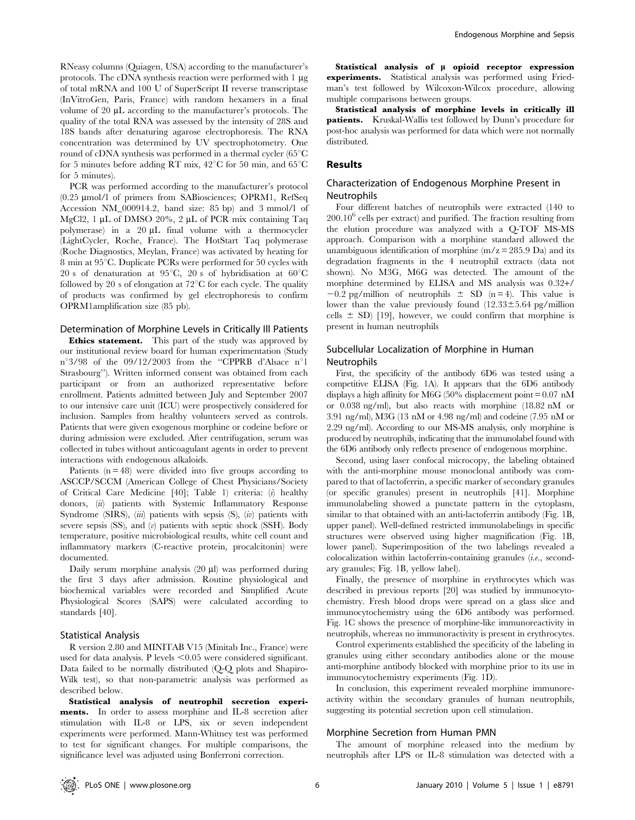RNeasy columns (Quiagen, USA) according to the manufacturer's protocols. The cDNA synthesis reaction were performed with  $1 \mu$ g of total mRNA and 100 U of SuperScript II reverse transcriptase (InVitroGen, Paris, France) with random hexamers in a final volume of 20  $\mu$ L according to the manufacturer's protocols. The quality of the total RNA was assessed by the intensity of 28S and 18S bands after denaturing agarose electrophoresis. The RNA concentration was determined by UV spectrophotometry. One round of cDNA synthesis was performed in a thermal cycler  $(65^{\circ}C)$ for 5 minutes before adding RT mix,  $42^{\circ}$ C for 50 min, and 65 $^{\circ}$ C for 5 minutes).

PCR was performed according to the manufacturer's protocol (0.25 mmol/l of primers from SABiosciences; OPRM1, RefSeq Accession NM\_000914.2, band size: 85 bp) and 3 mmol/l of MgCl2, 1 µL of DMSO 20%, 2 µL of PCR mix containing Taq polymerase) in a  $20 \mu L$  final volume with a thermocycler (LightCycler, Roche, France). The HotStart Taq polymerase (Roche Diagnostics, Meylan, France) was activated by heating for 8 min at  $95^{\circ}$ C. Duplicate PCRs were performed for 50 cycles with 20 s of denaturation at  $95^{\circ}$ C, 20 s of hybridisation at  $60^{\circ}$ C followed by 20 s of elongation at  $72^{\circ}$ C for each cycle. The quality of products was confirmed by gel electrophoresis to confirm OPRM1amplification size (85 pb).

## Determination of Morphine Levels in Critically Ill Patients

**Ethics statement.** This part of the study was approved by our institutional review board for human experimentation (Study  $n^{\circ}3/98$  of the 09/12/2003 from the "CPPRB d'Alsace  $n^{\circ}1$ Strasbourg''). Written informed consent was obtained from each participant or from an authorized representative before enrollment. Patients admitted between July and September 2007 to our intensive care unit (ICU) were prospectively considered for inclusion. Samples from healthy volunteers served as controls. Patients that were given exogenous morphine or codeine before or during admission were excluded. After centrifugation, serum was collected in tubes without anticoagulant agents in order to prevent interactions with endogenous alkaloids.

Patients (n = 48) were divided into five groups according to ASCCP/SCCM (American College of Chest Physicians/Society of Critical Care Medicine  $[40]$ ; Table 1) criteria: (*i*) healthy donors, (ii) patients with Systemic Inflammatory Response Syndrome (SIRS), (iii) patients with sepsis (S), (iv) patients with severe sepsis  $(SS)$ , and  $(v)$  patients with septic shock  $(SSH)$ . Body temperature, positive microbiological results, white cell count and inflammatory markers (C-reactive protein, procalcitonin) were documented.

Daily serum morphine analysis (20 ml) was performed during the first 3 days after admission. Routine physiological and biochemical variables were recorded and Simplified Acute Physiological Scores (SAPS) were calculated according to standards [40].

#### Statistical Analysis

R version 2.80 and MINITAB V15 (Minitab Inc., France) were used for data analysis. P levels  $\leq 0.05$  were considered significant. Data failed to be normally distributed (Q-Q plots and Shapiro-Wilk test), so that non-parametric analysis was performed as described below.

Statistical analysis of neutrophil secretion experiments. In order to assess morphine and IL-8 secretion after stimulation with IL-8 or LPS, six or seven independent experiments were performed. Mann-Whitney test was performed to test for significant changes. For multiple comparisons, the significance level was adjusted using Bonferroni correction.

Statistical analysis of  $\mu$  opioid receptor expression experiments. Statistical analysis was performed using Friedman's test followed by Wilcoxon-Wilcox procedure, allowing multiple comparisons between groups.

Statistical analysis of morphine levels in critically ill patients. Kruskal-Wallis test followed by Dunn's procedure for post-hoc analysis was performed for data which were not normally distributed.

## Results

## Characterization of Endogenous Morphine Present in Neutrophils

Four different batches of neutrophils were extracted (140 to  $200.10<sup>6</sup>$  cells per extract) and purified. The fraction resulting from the elution procedure was analyzed with a Q-TOF MS-MS approach. Comparison with a morphine standard allowed the unambiguous identification of morphine  $(m/z = 285.9 \text{ Da})$  and its degradation fragments in the 4 neutrophil extracts (data not shown). No M3G, M6G was detected. The amount of the morphine determined by ELISA and MS analysis was 0.32+/  $-0.2$  pg/million of neutrophils  $\pm$  SD (n = 4). This value is lower than the value previously found  $(12.33\pm5.64 \text{ pg/million})$ cells  $\pm$  SD) [19], however, we could confirm that morphine is present in human neutrophils

## Subcellular Localization of Morphine in Human Neutrophils

First, the specificity of the antibody 6D6 was tested using a competitive ELISA (Fig. 1A). It appears that the 6D6 antibody displays a high affinity for M6G (50% displacement point  $= 0.07$  nM or 0.038 ng/ml), but also reacts with morphine (18.82 nM or 3.91 ng/ml), M3G (13 nM or 4.98 ng/ml) and codeine (7.95 nM or 2.29 ng/ml). According to our MS-MS analysis, only morphine is produced by neutrophils, indicating that the immunolabel found with the 6D6 antibody only reflects presence of endogenous morphine.

Second, using laser confocal microcopy, the labeling obtained with the anti-morphine mouse monoclonal antibody was compared to that of lactoferrin, a specific marker of secondary granules (or specific granules) present in neutrophils [41]. Morphine immunolabeling showed a punctate pattern in the cytoplasm, similar to that obtained with an anti-lactoferrin antibody (Fig. 1B, upper panel). Well-defined restricted immunolabelings in specific structures were observed using higher magnification (Fig. 1B, lower panel). Superimposition of the two labelings revealed a colocalization within lactoferrin-containing granules (i.e., secondary granules; Fig. 1B, yellow label).

Finally, the presence of morphine in erythrocytes which was described in previous reports [20] was studied by immunocytochemistry. Fresh blood drops were spread on a glass slice and immunocytochemistry using the 6D6 antibody was performed. Fig. 1C shows the presence of morphine-like immunoreactivity in neutrophils, whereas no immunoractivity is present in erythrocytes.

Control experiments established the specificity of the labeling in granules using either secondary antibodies alone or the mouse anti-morphine antibody blocked with morphine prior to its use in immunocytochemistry experiments (Fig. 1D).

In conclusion, this experiment revealed morphine immunoreactivity within the secondary granules of human neutrophils, suggesting its potential secretion upon cell stimulation.

#### Morphine Secretion from Human PMN

The amount of morphine released into the medium by neutrophils after LPS or IL-8 stimulation was detected with a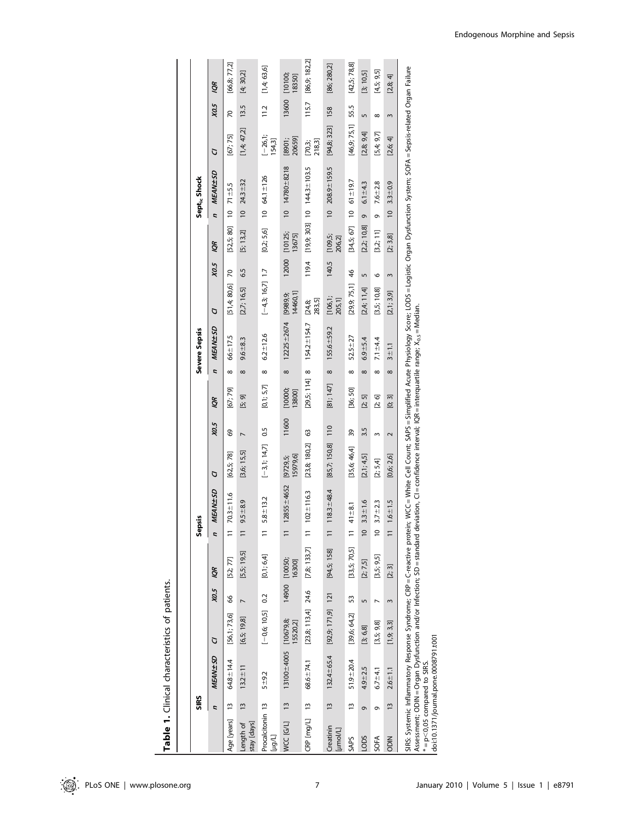| $-11$<br>ł             |
|------------------------|
| ミー・ミー<br>Ï<br>-מה האיר |
|                        |
|                        |

|                                 | SIRS           |                                                                                                                                                                                                                                                                                                                                                                                                   |                      |              |                         | Sepsis         |                 |                     |                |                   |                | Severe Sepsis     |                      |               |                                   | Sept <sub>ic</sub> Shock |                        |                      |              |                   |
|---------------------------------|----------------|---------------------------------------------------------------------------------------------------------------------------------------------------------------------------------------------------------------------------------------------------------------------------------------------------------------------------------------------------------------------------------------------------|----------------------|--------------|-------------------------|----------------|-----------------|---------------------|----------------|-------------------|----------------|-------------------|----------------------|---------------|-----------------------------------|--------------------------|------------------------|----------------------|--------------|-------------------|
|                                 | $\overline{z}$ | MEAN + SD                                                                                                                                                                                                                                                                                                                                                                                         | G                    | X0.5         | Ş                       | Ľ,             | MEAN + SD       | G                   | X0.5           | <b>iol</b>        | $\overline{z}$ | MEAN + SD         | G                    | X0.5          | 1QR                               | $\overline{a}$           | MEAN + SD              | G                    | X0.5         | ğδ                |
| Age [years]                     | $\frac{1}{2}$  | 64.8 ± 14.4                                                                                                                                                                                                                                                                                                                                                                                       | [56,1; 73,6]         | 8            | [52; 77]                |                | $70.3 \pm 11.6$ | [62, 5; 78]         | 69             | [67; 79]          | $\infty$       | $66 \pm 17.5$     | [51,4;80,6]          | 20            | [52, 5; 80]                       | $\approx$                | $71 + 5.5$             | [67; 75]             | 50           | [66,8; 77,2]      |
| stay [days]<br>Length of        | $\frac{13}{2}$ | $13.2 \pm 11$                                                                                                                                                                                                                                                                                                                                                                                     | [6,5; 19,8]          |              | [5,5; 19,5]             |                | $9.5 + 8.9$     | [3,6; 15,5]         | $\overline{ }$ | [5; 9]            | $\infty$       | $9.6 + 8.3$       | [2,7; 16,5]          | 6.5           | [5; 13, 2]                        | $\approx$                | $24.3 + 32$            | [1,4;47,2]           | 13.5         | [4; 30,2]         |
| Procalcitonin 13<br>[hol]       |                | $5 + 9.2$                                                                                                                                                                                                                                                                                                                                                                                         | $[-0.6; 10.5]$       | 0.2          | [0,1; 6,4]              | $\overline{1}$ | $5.8 + 13.2$    | $[-3,1; 14,7]$      | 0.5            | [0,1; 5,7]        | ∞              | $6.2 \pm 12.6$    | $[-4,3; 16,7]$ 1.7   |               | [0,2; 5,6]                        | $10$ 64.1 $\pm$ 126      |                        | $[-26, 1]$<br>154,3] | 11.2         | [1,4;63,6]        |
| <b>MCC [G/L]</b>                | $\frac{13}{2}$ | $13100 + 4005$ [10679,8;                                                                                                                                                                                                                                                                                                                                                                          | 15520,2]             |              | 14900 [10050;<br>16300] |                | $12855 + 4652$  | [979,6]<br>[9729,5; | 11600          | [10000;<br>13800] | $\infty$       | $12225 \pm 2674$  | 14460,1]<br>[9989,9; |               | 12000 [10125;<br>13675]           |                          | $10$ $14780 + 8218$    | 20659]<br>[8901;     | 13600        | [10100;<br>18350] |
| CRP [mg/L] 13                   |                | $68.6 + 74.1$                                                                                                                                                                                                                                                                                                                                                                                     | $[23,8; 113,4]$ 24.6 |              | [7,8; 133,7]            | $\equiv$       | $102 \pm 116.3$ | [23,8; 180,2]       | ශී             | $[29,5; 114]$ 8   |                | $154.2 \pm 154.7$ | 283,5]<br>[24,8;     | 119.4         | $[19,9;303]$ 10 $144.3 \pm 103.5$ |                          |                        | 218,3]<br>[70,3;     | 115.7        | [86,9; 182,2]     |
| Creatinin<br>[µmol/L]           | $\frac{13}{2}$ | 132.4±65.4                                                                                                                                                                                                                                                                                                                                                                                        | $[92,9; 171,9]$ 121  |              | [94,5; 158]             |                | $118.3 + 48.4$  | [85,7; 150,8]       | 110            | [81; 147]         | $\infty$       | $155.6 \pm 59.2$  | [106, 1]<br>205,1]   | 140.5         | [109,5;<br>206,2]                 |                          | $10$ 208.9 $\pm$ 159.5 | [94, 8; 323]         | 158          | [86; 280,2]       |
| <b>SAPS</b>                     | $\frac{1}{2}$  | $51.9 + 20.4$                                                                                                                                                                                                                                                                                                                                                                                     | [39,6; 64,2]         | 53           | [33,5; 70,5]            | $\overline{1}$ | $41 + 8.1$      | [35,6; 46,4]        | 39             | [36; 50]          | ${}^{\infty}$  | $52.5 + 27$       | [29,9; 75,1]         | $\frac{4}{6}$ | [34,5; 67]                        | $\approx$                | $61 \pm 19.7$          | [46, 9; 75, 1]       | 55.5         | [42,5; 78,8]      |
| LODS                            | ō              | $4.9 + 2.5$                                                                                                                                                                                                                                                                                                                                                                                       | [3, 6, 8]            | m            | [2; 7,5]                | $\overline{0}$ | $3.3 + 1.6$     | [2,1; 4,5]          | 3.5            | [2; 5]            | $\infty$       | $6.9 + 5.4$       | [2,4; 11,4]          | m             | [2,2; 10,8]                       | 9                        | $6.1 - 4.3$            | [2,8; 9,4]           | 5            | [3; 10, 5]        |
| SOFA                            | Ō              | $6.7 - 4.1$                                                                                                                                                                                                                                                                                                                                                                                       | [3,5; 9,8]           |              | [3,5; 9,5]              | $\overline{0}$ | $3.7 + 2.3$     | [2; 5, 4]           | 3              | [2; 6]            | $\infty$       | 7.1 $\pm$ 4.4     | [3,5; 10,8]          | O             | [3,2;11]                          | o                        | $7.6 + 2.8$            | [5,4;9,7]            | $\infty$     | [4,5; 9,5]        |
| <b>NICO</b>                     | $\frac{3}{2}$  | $2.6 - 1.1$                                                                                                                                                                                                                                                                                                                                                                                       | [1,9; 3,3]           | $\mathsf{S}$ | $[2; 3]$                |                | $1.6 + 1.5$     | [0,6; 2,6]          | $\sim$         | [0; 3]            | $\infty$       | $3 + 11$          | [2,1;3,9]            | $\mathsf{S}$  | [2; 3, 8]                         | $\overline{0}$           | $3.3 + 0.9$            | [2,6; 4]             | $\mathsf{S}$ | [2,8; 4]          |
| $* = p < 0.05$ compared to SIRS |                | SIRS: Systemic Inflammatory Response Syndrome; CRP = C-reactive proteitive potein; WCC = White Cell Count; SAPS = Simplified Acute Physiology Score; LODS = Logistic Organ Dysfunction System; SOFA = Sepsis-related Organ Fai<br>Assessment; ODIN = Organ Dysfunction and/or Infection; SD = standard deviation, CI = confidence interval; IQR = interquartile range; X <sub>0.5</sub> = Median. |                      |              |                         |                |                 |                     |                |                   |                |                   |                      |               |                                   |                          |                        |                      |              |                   |

 $* = p < 0.05$  compared to SIRS.<br>| doi:10.1371/journal.pone.0008791.t001 doi:10.1371/journal.pone.0008791.t001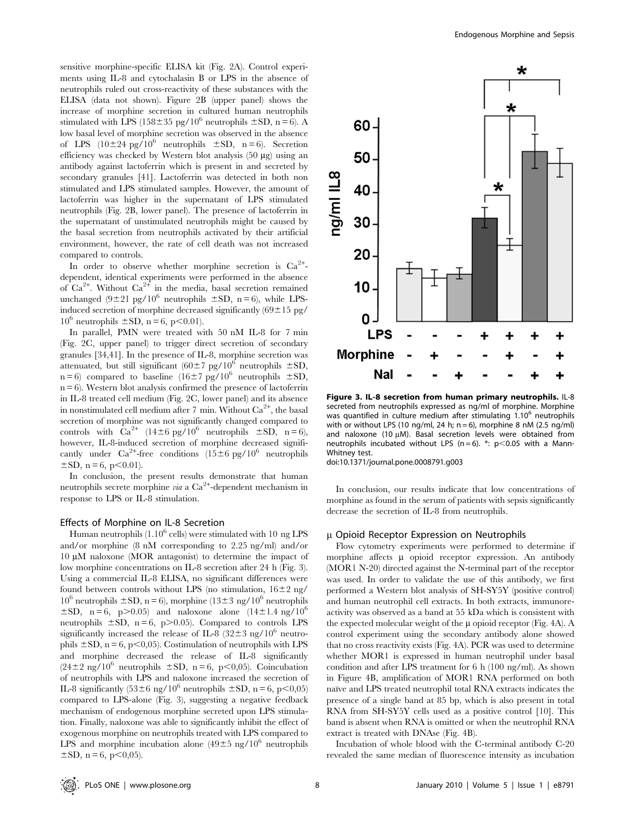sensitive morphine-specific ELISA kit (Fig. 2A). Control experiments using IL-8 and cytochalasin B or LPS in the absence of neutrophils ruled out cross-reactivity of these substances with the ELISA (data not shown). Figure 2B (upper panel) shows the increase of morphine secretion in cultured human neutrophils stimulated with LPS (158 $\pm$ 35 pg/10<sup>6</sup> neutrophils  $\pm$ SD, n = 6). A low basal level of morphine secretion was observed in the absence of LPS  $(10\pm24 \text{ pg}/10^6$  neutrophils  $\pm$ SD, n = 6). Secretion efficiency was checked by Western blot analysis  $(50 \mu g)$  using an antibody against lactoferrin which is present in and secreted by secondary granules [41]. Lactoferrin was detected in both non stimulated and LPS stimulated samples. However, the amount of lactoferrin was higher in the supernatant of LPS stimulated neutrophils (Fig. 2B, lower panel). The presence of lactoferrin in the supernatant of unstimulated neutrophils might be caused by the basal secretion from neutrophils activated by their artificial environment, however, the rate of cell death was not increased compared to controls.

In order to observe whether morphine secretion is  $Ca^{2+}$ dependent, identical experiments were performed in the absence of  $Ca^{2+}$ . Without  $Ca^{2+}$  in the media, basal secretion remained unchanged  $(9\pm21 \text{ pg}/10^6 \text{ neutrophils } \pm SD, n = 6)$ , while LPSinduced secretion of morphine decreased significantly  $(69 \pm 15 \text{ pg}/$  $10^6$  neutrophils  $\pm$ SD, n = 6, p<0.01).

In parallel, PMN were treated with 50 nM IL-8 for 7 min (Fig. 2C, upper panel) to trigger direct secretion of secondary granules [34,41]. In the presence of IL-8, morphine secretion was attenuated, but still significant  $(60\pm7 \text{ pg}/10^6 \text{ neutrophils } \pm \text{SD}$ ,  $n = 6$ ) compared to baseline (16±7 pg/10<sup>6</sup> neutrophils ±SD,  $n = 6$ ). Western blot analysis confirmed the presence of lactoferrin in IL-8 treated cell medium (Fig. 2C, lower panel) and its absence in nonstimulated cell medium after 7 min. Without  $\text{Ca}^{2+}$ , the basal secretion of morphine was not significantly changed compared to controls with  $Ca^{2+}$  (14 $\pm 6$  pg/10<sup>6</sup> neutrophils  $\pm SD$ , n = 6), however, IL-8-induced secretion of morphine decreased significantly under  $\text{Ca}^{2+}$ -free conditions (15±6 pg/10<sup>6</sup> neutrophils  $\pm$ SD, n = 6, p $\leq$ 0.01).

In conclusion, the present results demonstrate that human neutrophils secrete morphine via a Ca<sup>2+</sup>-dependent mechanism in response to LPS or IL-8 stimulation.

### Effects of Morphine on IL-8 Secretion

Human neutrophils  $(1.10^6 \text{ cells})$  were stimulated with 10 ng LPS and/or morphine (8 nM corresponding to 2.25 ng/ml) and/or  $10 \mu M$  naloxone (MOR antagonist) to determine the impact of low morphine concentrations on IL-8 secretion after 24 h (Fig. 3). Using a commercial IL-8 ELISA, no significant differences were found between controls without LPS (no stimulation,  $16\pm2$  ng/  $10^6$  neutrophils  $\pm$ SD, n = 6), morphine (13 $\pm$ 3 ng/10<sup>6</sup> neutrophils  $\pm$ SD, n = 6, p>0.05) and naloxone alone (14 $\pm$ 1.4 ng/10<sup>6</sup>) neutrophils  $\pm$ SD, n = 6, p $>$ 0.05). Compared to controls LPS significantly increased the release of IL-8 (32 $\pm$ 3 ng/10<sup>6</sup> neutrophils  $\pm$ SD, n = 6, p<0,05). Costimulation of neutrophils with LPS and morphine decreased the release of IL-8 significantly  $(24\pm2 \text{ ng}/10^6 \text{ neutrophils } \pm SD, n = 6, p<0,05)$ . Coincubation of neutrophils with LPS and naloxone increased the secretion of IL-8 significantly  $(53\pm6 \text{ ng}/10^6 \text{ neutrophils } \pm SD, n = 6, p<0,05)$ compared to LPS-alone (Fig. 3), suggesting a negative feedback mechanism of endogenous morphine secreted upon LPS stimulation. Finally, naloxone was able to significantly inhibit the effect of exogenous morphine on neutrophils treated with LPS compared to LPS and morphine incubation alone  $(49\pm 5 \text{ ng}/10^6 \text{ neutrophils})$  $\pm$ SD, n = 6, p $\lt$ 0,05).



Figure 3. IL-8 secretion from human primary neutrophils. IL-8 secreted from neutrophils expressed as ng/ml of morphine. Morphine was quantified in culture medium after stimulating 1.10<sup>6</sup> neutrophils with or without LPS (10 ng/ml, 24 h;  $n = 6$ ), morphine 8 nM (2.5 ng/ml) and naloxone (10  $\mu$ M). Basal secretion levels were obtained from neutrophils incubated without LPS (n = 6). \*:  $p$  < 0.05 with a Mann-Whitney test.

doi:10.1371/journal.pone.0008791.g003

In conclusion, our results indicate that low concentrations of morphine as found in the serum of patients with sepsis significantly decrease the secretion of IL-8 from neutrophils.

### u Opioid Receptor Expression on Neutrophils

Flow cytometry experiments were performed to determine if morphine affects  $\mu$  opioid receptor expression. An antibody (MOR1 N-20) directed against the N-terminal part of the receptor was used. In order to validate the use of this antibody, we first performed a Western blot analysis of SH-SY5Y (positive control) and human neutrophil cell extracts. In both extracts, immunoreactivity was observed as a band at 55 kDa which is consistent with the expected molecular weight of the  $\mu$  opioid receptor (Fig. 4A). A control experiment using the secondary antibody alone showed that no cross reactivity exists (Fig. 4A). PCR was used to determine whether MOR1 is expressed in human neutrophil under basal condition and after LPS treatment for 6 h (100 ng/ml). As shown in Figure 4B, amplification of MOR1 RNA performed on both naïve and LPS treated neutrophil total RNA extracts indicates the presence of a single band at 85 bp, which is also present in total RNA from SH-SY5Y cells used as a positive control [10]. This band is absent when RNA is omitted or when the neutrophil RNA extract is treated with DNAse (Fig. 4B).

Incubation of whole blood with the C-terminal antibody C-20 revealed the same median of fluorescence intensity as incubation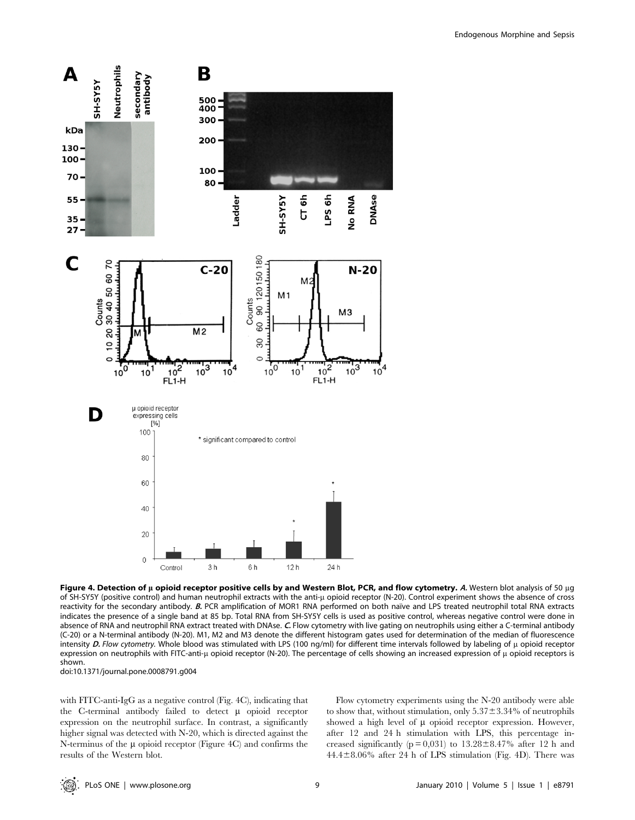

Figure 4. Detection of u opioid receptor positive cells by and Western Blot, PCR, and flow cytometry. A. Western blot analysis of 50 ug of SH-SY5Y (positive control) and human neutrophil extracts with the anti-µ opioid receptor (N-20). Control experiment shows the absence of cross reactivity for the secondary antibody. B. PCR amplification of MOR1 RNA performed on both naıve and LPS treated neutrophil total RNA extracts indicates the presence of a single band at 85 bp. Total RNA from SH-SY5Y cells is used as positive control, whereas negative control were done in absence of RNA and neutrophil RNA extract treated with DNAse. C. Flow cytometry with live gating on neutrophils using either a C-terminal antibody (C-20) or a N-terminal antibody (N-20). M1, M2 and M3 denote the different histogram gates used for determination of the median of fluorescence intensity D. Flow cytometry. Whole blood was stimulated with LPS (100 ng/ml) for different time intervals followed by labeling of  $\mu$  opioid receptor expression on neutrophils with FITC-anti-µ opioid receptor (N-20). The percentage of cells showing an increased expression of  $\mu$  opioid receptors is shown.

doi:10.1371/journal.pone.0008791.g004

with FITC-anti-IgG as a negative control (Fig. 4C), indicating that the C-terminal antibody failed to detect  $\mu$  opioid receptor expression on the neutrophil surface. In contrast, a significantly higher signal was detected with N-20, which is directed against the N-terminus of the  $\mu$  opioid receptor (Figure 4C) and confirms the results of the Western blot.

Flow cytometry experiments using the N-20 antibody were able to show that, without stimulation, only  $5.37\pm3.34\%$  of neutrophils showed a high level of  $\mu$  opioid receptor expression. However, after 12 and 24 h stimulation with LPS, this percentage increased significantly ( $p = 0.031$ ) to  $13.28 \pm 8.47$ % after 12 h and  $44.4\pm8.06\%$  after 24 h of LPS stimulation (Fig. 4D). There was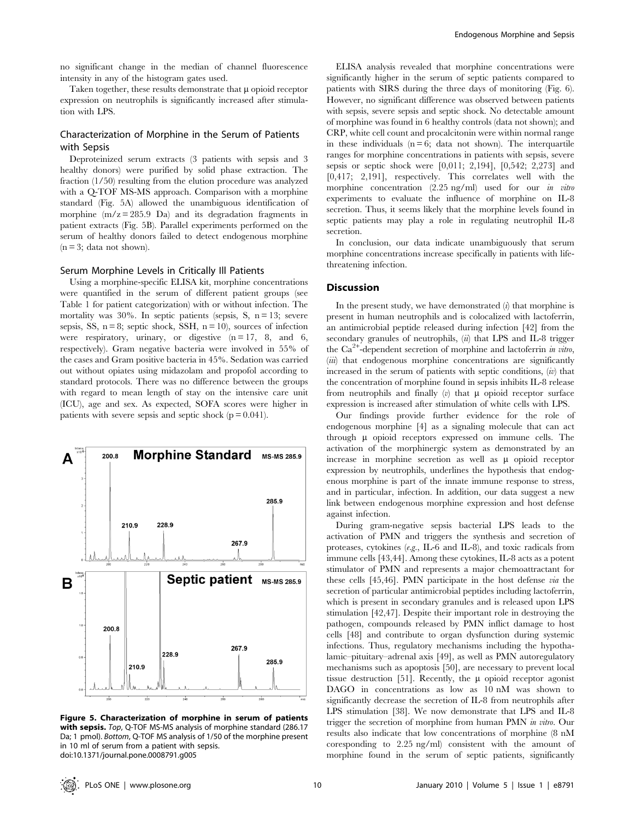no significant change in the median of channel fluorescence intensity in any of the histogram gates used.

Taken together, these results demonstrate that  $\mu$  opioid receptor expression on neutrophils is significantly increased after stimulation with LPS.

## Characterization of Morphine in the Serum of Patients with Sepsis

Deproteinized serum extracts (3 patients with sepsis and 3 healthy donors) were purified by solid phase extraction. The fraction (1/50) resulting from the elution procedure was analyzed with a Q-TOF MS-MS approach. Comparison with a morphine standard (Fig. 5A) allowed the unambiguous identification of morphine  $(m/z = 285.9$  Da) and its degradation fragments in patient extracts (Fig. 5B). Parallel experiments performed on the serum of healthy donors failed to detect endogenous morphine  $(n = 3; data not shown).$ 

## Serum Morphine Levels in Critically Ill Patients

Using a morphine-specific ELISA kit, morphine concentrations were quantified in the serum of different patient groups (see Table 1 for patient categorization) with or without infection. The mortality was  $30\%$ . In septic patients (sepsis, S, n = 13; severe sepsis, SS,  $n = 8$ ; septic shock, SSH,  $n = 10$ ), sources of infection were respiratory, urinary, or digestive  $(n = 17, 8, and 6,$ respectively). Gram negative bacteria were involved in 55% of the cases and Gram positive bacteria in 45%. Sedation was carried out without opiates using midazolam and propofol according to standard protocols. There was no difference between the groups with regard to mean length of stay on the intensive care unit (ICU), age and sex. As expected, SOFA scores were higher in patients with severe sepsis and septic shock ( $p = 0.041$ ).



Figure 5. Characterization of morphine in serum of patients with sepsis. Top, Q-TOF MS-MS analysis of morphine standard (286.17 Da; 1 pmol). Bottom, Q-TOF MS analysis of 1/50 of the morphine present in 10 ml of serum from a patient with sepsis. doi:10.1371/journal.pone.0008791.g005

ELISA analysis revealed that morphine concentrations were significantly higher in the serum of septic patients compared to patients with SIRS during the three days of monitoring (Fig. 6). However, no significant difference was observed between patients with sepsis, severe sepsis and septic shock. No detectable amount of morphine was found in 6 healthy controls (data not shown); and CRP, white cell count and procalcitonin were within normal range in these individuals  $(n = 6; data not shown)$ . The interquartile ranges for morphine concentrations in patients with sepsis, severe sepsis or septic shock were [0,011; 2,194], [0,542; 2,273] and [0,417; 2,191], respectively. This correlates well with the morphine concentration (2.25 ng/ml) used for our *in vitro* experiments to evaluate the influence of morphine on IL-8 secretion. Thus, it seems likely that the morphine levels found in septic patients may play a role in regulating neutrophil IL-8 secretion.

In conclusion, our data indicate unambiguously that serum morphine concentrations increase specifically in patients with lifethreatening infection.

## Discussion

In the present study, we have demonstrated  $(i)$  that morphine is present in human neutrophils and is colocalized with lactoferrin, an antimicrobial peptide released during infection [42] from the secondary granules of neutrophils,  $\langle \hat{u} \rangle$  that LPS and IL-8 trigger the  $Ca^{2+}$ -dependent secretion of morphine and lactoferrin in vitro,  $(iii)$  that endogenous morphine concentrations are significantly increased in the serum of patients with septic conditions,  $(w)$  that the concentration of morphine found in sepsis inhibits IL-8 release from neutrophils and finally  $(v)$  that  $\mu$  opioid receptor surface expression is increased after stimulation of white cells with LPS.

Our findings provide further evidence for the role of endogenous morphine [4] as a signaling molecule that can act through  $\mu$  opioid receptors expressed on immune cells. The activation of the morphinergic system as demonstrated by an increase in morphine secretion as well as  $\mu$  opioid receptor expression by neutrophils, underlines the hypothesis that endogenous morphine is part of the innate immune response to stress, and in particular, infection. In addition, our data suggest a new link between endogenous morphine expression and host defense against infection.

During gram-negative sepsis bacterial LPS leads to the activation of PMN and triggers the synthesis and secretion of proteases, cytokines (e.g., IL-6 and IL-8), and toxic radicals from immune cells [43,44]. Among these cytokines, IL-8 acts as a potent stimulator of PMN and represents a major chemoattractant for these cells [45,46]. PMN participate in the host defense via the secretion of particular antimicrobial peptides including lactoferrin, which is present in secondary granules and is released upon LPS stimulation [42,47]. Despite their important role in destroying the pathogen, compounds released by PMN inflict damage to host cells [48] and contribute to organ dysfunction during systemic infections. Thus, regulatory mechanisms including the hypothalamic–pituitary–adrenal axis [49], as well as PMN autoregulatory mechanisms such as apoptosis [50], are necessary to prevent local tissue destruction [51]. Recently, the  $\mu$  opioid receptor agonist DAGO in concentrations as low as 10 nM was shown to significantly decrease the secretion of IL-8 from neutrophils after LPS stimulation [38]. We now demonstrate that LPS and IL-8 trigger the secretion of morphine from human PMN in vitro. Our results also indicate that low concentrations of morphine (8 nM coresponding to 2.25 ng/ml) consistent with the amount of morphine found in the serum of septic patients, significantly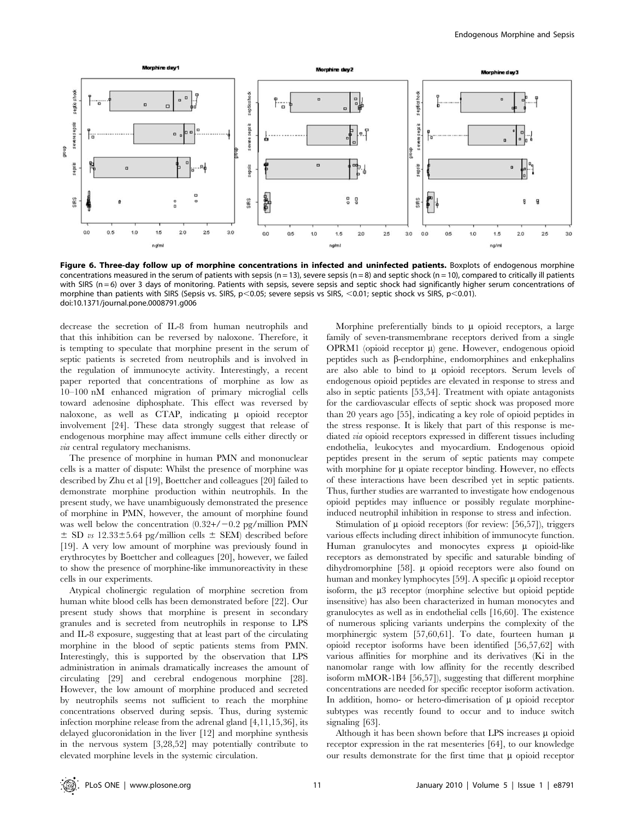

Figure 6. Three-day follow up of morphine concentrations in infected and uninfected patients. Boxplots of endogenous morphine concentrations measured in the serum of patients with sepsis (n = 13), severe sepsis (n = 8) and septic shock (n = 10), compared to critically ill patients with SIRS (n = 6) over 3 days of monitoring. Patients with sepsis, severe sepsis and septic shock had significantly higher serum concentrations of morphine than patients with SIRS (Sepsis vs. SIRS, p<0.05; severe sepsis vs SIRS, <0.01; septic shock vs SIRS, p<0.01). doi:10.1371/journal.pone.0008791.g006

decrease the secretion of IL-8 from human neutrophils and that this inhibition can be reversed by naloxone. Therefore, it is tempting to speculate that morphine present in the serum of septic patients is secreted from neutrophils and is involved in the regulation of immunocyte activity. Interestingly, a recent paper reported that concentrations of morphine as low as 10–100 nM enhanced migration of primary microglial cells toward adenosine diphosphate. This effect was reversed by naloxone, as well as CTAP, indicating  $\mu$  opioid receptor involvement [24]. These data strongly suggest that release of endogenous morphine may affect immune cells either directly or via central regulatory mechanisms.

The presence of morphine in human PMN and mononuclear cells is a matter of dispute: Whilst the presence of morphine was described by Zhu et al [19], Boettcher and colleagues [20] failed to demonstrate morphine production within neutrophils. In the present study, we have unambiguously demonstrated the presence of morphine in PMN, however, the amount of morphine found was well below the concentration  $(0.32+/-0.2$  pg/million PMN  $\pm$  SD vs 12.33 $\pm$ 5.64 pg/million cells  $\pm$  SEM) described before [19]. A very low amount of morphine was previously found in erythrocytes by Boettcher and colleagues [20], however, we failed to show the presence of morphine-like immunoreactivity in these cells in our experiments.

Atypical cholinergic regulation of morphine secretion from human white blood cells has been demonstrated before [22]. Our present study shows that morphine is present in secondary granules and is secreted from neutrophils in response to LPS and IL-8 exposure, suggesting that at least part of the circulating morphine in the blood of septic patients stems from PMN. Interestingly, this is supported by the observation that LPS administration in animals dramatically increases the amount of circulating [29] and cerebral endogenous morphine [28]. However, the low amount of morphine produced and secreted by neutrophils seems not sufficient to reach the morphine concentrations observed during sepsis. Thus, during systemic infection morphine release from the adrenal gland [4,11,15,36], its delayed glucoronidation in the liver [12] and morphine synthesis in the nervous system [3,28,52] may potentially contribute to elevated morphine levels in the systemic circulation.

Morphine preferentially binds to  $\mu$  opioid receptors, a large family of seven-transmembrane receptors derived from a single OPRM1 (opioid receptor  $\mu$ ) gene. However, endogenous opioid peptides such as  $\beta$ -endorphine, endomorphines and enkephalins are also able to bind to  $\mu$  opioid receptors. Serum levels of endogenous opioid peptides are elevated in response to stress and also in septic patients [53,54]. Treatment with opiate antagonists for the cardiovascular effects of septic shock was proposed more than 20 years ago [55], indicating a key role of opioid peptides in the stress response. It is likely that part of this response is mediated via opioid receptors expressed in different tissues including endothelia, leukocytes and myocardium. Endogenous opioid peptides present in the serum of septic patients may compete with morphine for  $\mu$  opiate receptor binding. However, no effects of these interactions have been described yet in septic patients. Thus, further studies are warranted to investigate how endogenous opioid peptides may influence or possibly regulate morphineinduced neutrophil inhibition in response to stress and infection.

Stimulation of  $\mu$  opioid receptors (for review: [56,57]), triggers various effects including direct inhibition of immunocyte function. Human granulocytes and monocytes express  $\mu$  opioid-like receptors as demonstrated by specific and saturable binding of dihydromorphine [58].  $\mu$  opioid receptors were also found on human and monkey lymphocytes  $[59]$ . A specific  $\mu$  opioid receptor isoform, the  $\mu$ 3 receptor (morphine selective but opioid peptide insensitive) has also been characterized in human monocytes and granulocytes as well as in endothelial cells [16,60]. The existence of numerous splicing variants underpins the complexity of the morphinergic system [57,60,61]. To date, fourteen human  $\mu$ opioid receptor isoforms have been identified [56,57,62] with various affinities for morphine and its derivatives (Ki in the nanomolar range with low affinity for the recently described isoform mMOR-1B4 [56,57]), suggesting that different morphine concentrations are needed for specific receptor isoform activation. In addition, homo- or hetero-dimerisation of  $\mu$  opioid receptor subtypes was recently found to occur and to induce switch signaling [63].

Although it has been shown before that LPS increases  $\mu$  opioid receptor expression in the rat mesenteries [64], to our knowledge our results demonstrate for the first time that  $\mu$  opioid receptor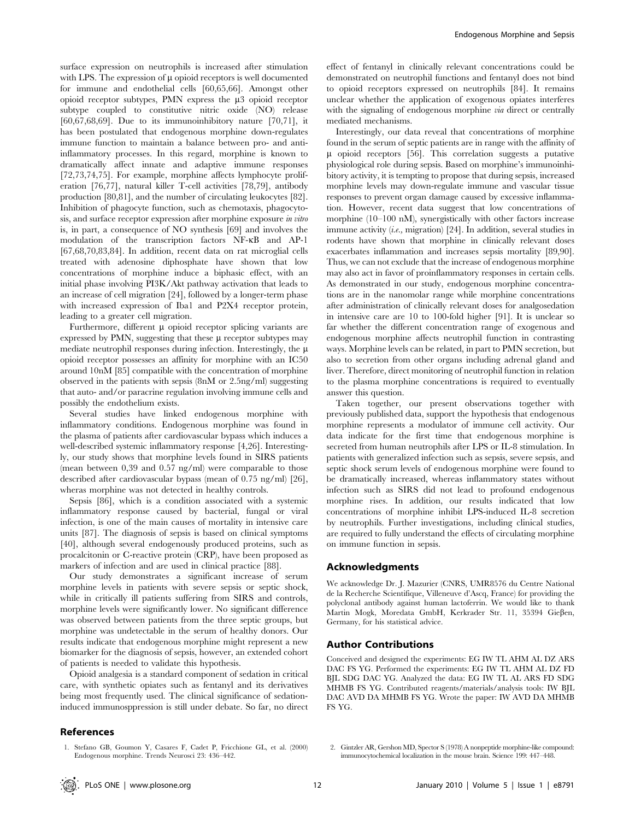surface expression on neutrophils is increased after stimulation with LPS. The expression of  $\mu$  opioid receptors is well documented for immune and endothelial cells [60,65,66]. Amongst other opioid receptor subtypes, PMN express the  $\mu$ 3 opioid receptor subtype coupled to constitutive nitric oxide (NO) release [60,67,68,69]. Due to its immunoinhibitory nature [70,71], it has been postulated that endogenous morphine down-regulates immune function to maintain a balance between pro- and antiinflammatory processes. In this regard, morphine is known to dramatically affect innate and adaptive immune responses [72,73,74,75]. For example, morphine affects lymphocyte proliferation [76,77], natural killer T-cell activities [78,79], antibody production [80,81], and the number of circulating leukocytes [82]. Inhibition of phagocyte function, such as chemotaxis, phagocytosis, and surface receptor expression after morphine exposure in vitro is, in part, a consequence of NO synthesis [69] and involves the modulation of the transcription factors NF-kB and AP-1 [67,68,70,83,84]. In addition, recent data on rat microglial cells treated with adenosine diphosphate have shown that low concentrations of morphine induce a biphasic effect, with an initial phase involving PI3K/Akt pathway activation that leads to an increase of cell migration [24], followed by a longer-term phase with increased expression of Iba1 and P2X4 receptor protein, leading to a greater cell migration.

Furthermore, different  $\mu$  opioid receptor splicing variants are expressed by PMN, suggesting that these  $\mu$  receptor subtypes may mediate neutrophil responses during infection. Interestingly, the  $\mu$ opioid receptor possesses an affinity for morphine with an IC50 around 10nM [85] compatible with the concentration of morphine observed in the patients with sepsis (8nM or 2.5ng/ml) suggesting that auto- and/or paracrine regulation involving immune cells and possibly the endothelium exists.

Several studies have linked endogenous morphine with inflammatory conditions. Endogenous morphine was found in the plasma of patients after cardiovascular bypass which induces a well-described systemic inflammatory response [4,26]. Interestingly, our study shows that morphine levels found in SIRS patients (mean between 0,39 and 0.57 ng/ml) were comparable to those described after cardiovascular bypass (mean of 0.75 ng/ml) [26], wheras morphine was not detected in healthy controls.

Sepsis [86], which is a condition associated with a systemic inflammatory response caused by bacterial, fungal or viral infection, is one of the main causes of mortality in intensive care units [87]. The diagnosis of sepsis is based on clinical symptoms [40], although several endogenously produced proteins, such as procalcitonin or C-reactive protein (CRP), have been proposed as markers of infection and are used in clinical practice [88].

Our study demonstrates a significant increase of serum morphine levels in patients with severe sepsis or septic shock, while in critically ill patients suffering from SIRS and controls, morphine levels were significantly lower. No significant difference was observed between patients from the three septic groups, but morphine was undetectable in the serum of healthy donors. Our results indicate that endogenous morphine might represent a new biomarker for the diagnosis of sepsis, however, an extended cohort of patients is needed to validate this hypothesis.

Opioid analgesia is a standard component of sedation in critical care, with synthetic opiates such as fentanyl and its derivatives being most frequently used. The clinical significance of sedationinduced immunosppression is still under debate. So far, no direct

## References

effect of fentanyl in clinically relevant concentrations could be demonstrated on neutrophil functions and fentanyl does not bind to opioid receptors expressed on neutrophils [84]. It remains unclear whether the application of exogenous opiates interferes with the signaling of endogenous morphine *via* direct or centrally mediated mechanisms.

Interestingly, our data reveal that concentrations of morphine found in the serum of septic patients are in range with the affinity of  $\mu$  opioid receptors [56]. This correlation suggests a putative physiological role during sepsis. Based on morphine's immunoinhibitory activity, it is tempting to propose that during sepsis, increased morphine levels may down-regulate immune and vascular tissue responses to prevent organ damage caused by excessive inflammation. However, recent data suggest that low concentrations of morphine (10–100 nM), synergistically with other factors increase immune activity (i.e., migration) [24]. In addition, several studies in rodents have shown that morphine in clinically relevant doses exacerbates inflammation and increases sepsis mortality [89,90]. Thus, we can not exclude that the increase of endogenous morphine may also act in favor of proinflammatory responses in certain cells. As demonstrated in our study, endogenous morphine concentrations are in the nanomolar range while morphine concentrations after administration of clinically relevant doses for analgosedation in intensive care are 10 to 100-fold higher [91]. It is unclear so far whether the different concentration range of exogenous and endogenous morphine affects neutrophil function in contrasting ways. Morphine levels can be related, in part to PMN secretion, but also to secretion from other organs including adrenal gland and liver. Therefore, direct monitoring of neutrophil function in relation to the plasma morphine concentrations is required to eventually answer this question.

Taken together, our present observations together with previously published data, support the hypothesis that endogenous morphine represents a modulator of immune cell activity. Our data indicate for the first time that endogenous morphine is secreted from human neutrophils after LPS or IL-8 stimulation. In patients with generalized infection such as sepsis, severe sepsis, and septic shock serum levels of endogenous morphine were found to be dramatically increased, whereas inflammatory states without infection such as SIRS did not lead to profound endogenous morphine rises. In addition, our results indicated that low concentrations of morphine inhibit LPS-induced IL-8 secretion by neutrophils. Further investigations, including clinical studies, are required to fully understand the effects of circulating morphine on immune function in sepsis.

## Acknowledgments

We acknowledge Dr. J. Mazurier (CNRS, UMR8576 du Centre National de la Recherche Scientifique, Villeneuve d'Ascq, France) for providing the polyclonal antibody against human lactoferrin. We would like to thank Martin Mogk, Moredata GmbH, Kerkrader Str. 11, 35394 Gießen, Germany, for his statistical advice.

## Author Contributions

Conceived and designed the experiments: EG IW TL AHM AL DZ ARS DAC FS YG. Performed the experiments: EG IW TL AHM AL DZ FD BJL SDG DAC YG. Analyzed the data: EG IW TL AL ARS FD SDG MHMB FS YG. Contributed reagents/materials/analysis tools: IW BJL DAC AVD DA MHMB FS YG. Wrote the paper: IW AVD DA MHMB FS YG.

1. Stefano GB, Goumon Y, Casares F, Cadet P, Fricchione GL, et al. (2000) Endogenous morphine. Trends Neurosci 23: 436–442.

<sup>2.</sup> Gintzler AR, Gershon MD, Spector S (1978) A nonpeptide morphine-like compound: immunocytochemical localization in the mouse brain. Science 199: 447–448.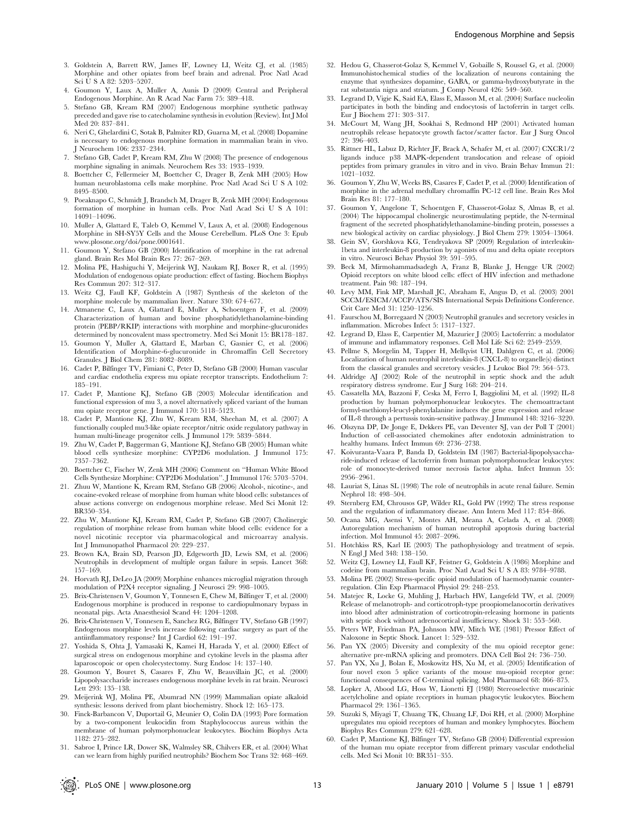- 3. Goldstein A, Barrett RW, James IF, Lowney LI, Weitz CJ, et al. (1985) Morphine and other opiates from beef brain and adrenal. Proc Natl Acad Sci U S A 82: 5203–5207.
- 4. Goumon Y, Laux A, Muller A, Aunis D (2009) Central and Peripheral Endogenous Morphine. An R Acad Nac Farm 75: 389–418.
- 5. Stefano GB, Kream RM (2007) Endogenous morphine synthetic pathway preceded and gave rise to catecholamine synthesis in evolution (Review). Int J Mol Med 20: 837–841.
- 6. Neri C, Ghelardini C, Sotak B, Palmiter RD, Guarna M, et al. (2008) Dopamine is necessary to endogenous morphine formation in mammalian brain in vivo. J Neurochem 106: 2337–2344.
- 7. Stefano GB, Cadet P, Kream RM, Zhu W (2008) The presence of endogenous morphine signaling in animals. Neurochem Res 33: 1933–1939.
- 8. Boettcher C, Fellermeier M, Boettcher C, Drager B, Zenk MH (2005) How human neuroblastoma cells make morphine. Proc Natl Acad Sci U S A 102: 8495–8500.
- 9. Poeaknapo C, Schmidt J, Brandsch M, Drager B, Zenk MH (2004) Endogenous formation of morphine in human cells. Proc Natl Acad Sci U S A 101: 14091–14096.
- 10. Muller A, Glattard E, Taleb O, Kemmel V, Laux A, et al. (2008) Endogenous Morphine in SH-SY5Y Cells and the Mouse Cerebellum. PLoS One 3: Epub www.plosone.org/doi/pone.0001641.
- 11. Goumon Y, Stefano GB (2000) Identification of morphine in the rat adrenal gland. Brain Res Mol Brain Res 77: 267–269.
- 12. Molina PE, Hashiguchi Y, Meijerink WJ, Naukam RJ, Boxer R, et al. (1995) Modulation of endogenous opiate production: effect of fasting. Biochem Biophys Res Commun 207: 312–317.
- 13. Weitz CJ, Faull KF, Goldstein A (1987) Synthesis of the skeleton of the morphine molecule by mammalian liver. Nature 330: 674–677.
- 14. Atmanene C, Laux A, Glattard E, Muller A, Schoentgen F, et al. (2009) Characterization of human and bovine phosphatidylethanolamine-binding protein (PEBP/RKIP) interactions with morphine and morphine-glucuronides determined by noncovalent mass spectrometry. Med Sci Monit 15: BR178–187.
- 15. Goumon Y, Muller A, Glattard E, Marban C, Gasnier C, et al. (2006) Identification of Morphine-6-glucuronide in Chromaffin Cell Secretory Granules. J Biol Chem 281: 8082–8089.
- 16. Cadet P, Bilfinger TV, Fimiani C, Peter D, Stefano GB (2000) Human vascular and cardiac endothelia express mu opiate receptor transcripts. Endothelium 7: 185–191.
- 17. Cadet P, Mantione KJ, Stefano GB (2003) Molecular identification and functional expression of mu 3, a novel alternatively spliced variant of the human mu opiate receptor gene. J Immunol 170: 5118–5123.
- 18. Cadet P, Mantione KJ, Zhu W, Kream RM, Sheehan M, et al. (2007) A functionally coupled mu3-like opiate receptor/nitric oxide regulatory pathway in human multi-lineage progenitor cells. J Immunol 179: 5839–5844.
- 19. Zhu W, Cadet P, Baggerman G, Mantione KJ, Stefano GB (2005) Human white blood cells synthesize morphine: CYP2D6 modulation. J Immunol 175: 7357–7362.
- 20. Boettcher C, Fischer W, Zenk MH (2006) Comment on ''Human White Blood Cells Synthesize Morphine: CYP2D6 Modulation''. J Immunol 176: 5703–5704.
- 21. Zhuu W, Mantione K, Kream RM, Stefano GB (2006) Alcohol-, nicotine-, and cocaine-evoked release of morphine from human white blood cells: substances of abuse actions converge on endogenous morphine release. Med Sci Monit 12: BR350–354.
- 22. Zhu W, Mantione KJ, Kream RM, Cadet P, Stefano GB (2007) Cholinergic regulation of morphine release from human white blood cells: evidence for a novel nicotinic receptor via pharmacological and microarray analysis. Int J Immunopathol Pharmacol 20: 229–237.
- 23. Brown KA, Brain SD, Pearson JD, Edgeworth JD, Lewis SM, et al. (2006) Neutrophils in development of multiple organ failure in sepsis. Lancet 368: 157–169.
- 24. Horvath RJ, DeLeo JA (2009) Morphine enhances microglial migration through modulation of P2X4 receptor signaling. J Neurosci 29: 998–1005.
- 25. Brix-Christensen V, Goumon Y, Tonnesen E, Chew M, Bilfinger T, et al. (2000) Endogenous morphine is produced in response to cardiopulmonary bypass in neonatal pigs. Acta Anaesthesiol Scand 44: 1204–1208.
- 26. Brix-Christensen V, Tonnesen E, Sanchez RG, Bilfinger TV, Stefano GB (1997) Endogenous morphine levels increase following cardiac surgery as part of the antiinflammatory response? Int J Cardiol 62: 191–197.
- 27. Yoshida S, Ohta J, Yamasaki K, Kamei H, Harada Y, et al. (2000) Effect of surgical stress on endogenous morphine and cytokine levels in the plasma after laparoscopoic or open cholecystectomy. Surg Endosc 14: 137–140.
- 28. Goumon Y, Bouret S, Casares F, Zhu W, Beauvillain JC, et al. (2000) Lipopolysaccharide increases endogenous morphine levels in rat brain. Neurosci Lett 293: 135–138.
- 29. Meijerink WJ, Molina PE, Abumrad NN (1999) Mammalian opiate alkaloid synthesis: lessons derived from plant biochemistry. Shock 12: 165–173.
- 30. Finck-Barbancon V, Duportail G, Meunier O, Colin DA (1993) Pore formation by a two-component leukocidin from Staphylococcus aureus within the membrane of human polymorphonuclear leukocytes. Biochim Biophys Acta 1182: 275–282.
- 31. Sabroe I, Prince LR, Dower SK, Walmsley SR, Chilvers ER, et al. (2004) What can we learn from highly purified neutrophils? Biochem Soc Trans 32: 468–469.
- 32. Hedou G, Chasserot-Golaz S, Kemmel V, Gobaille S, Roussel G, et al. (2000) Immunohistochemical studies of the localization of neurons containing the enzyme that synthesizes dopamine, GABA, or gamma-hydroxybutyrate in the rat substantia nigra and striatum. J Comp Neurol 426: 549–560.
- 33. Legrand D, Vigie K, Said EA, Elass E, Masson M, et al. (2004) Surface nucleolin participates in both the binding and endocytosis of lactoferrin in target cells. Eur J Biochem 271: 303–317.
- 34. McCourt M, Wang JH, Sookhai S, Redmond HP (2001) Activated human neutrophils release hepatocyte growth factor/scatter factor. Eur J Surg Oncol 27: 396–403.
- 35. Rittner HL, Labuz D, Richter JF, Brack A, Schafer M, et al. (2007) CXCR1/2 ligands induce p38 MAPK-dependent translocation and release of opioid peptides from primary granules in vitro and in vivo. Brain Behav Immun 21: 1021–1032.
- 36. Goumon Y, Zhu W, Weeks BS, Casares F, Cadet P, et al. (2000) Identification of morphine in the adrenal medullary chromaffin PC-12 cell line. Brain Res Mol Brain Res 81: 177–180.
- 37. Goumon Y, Angelone T, Schoentgen F, Chasserot-Golaz S, Almas B, et al. (2004) The hippocampal cholinergic neurostimulating peptide, the N-terminal fragment of the secreted phosphatidylethanolamine-binding protein, possesses a new biological activity on cardiac physiology. J Biol Chem 279: 13054–13064.
- 38. Gein SV, Gorshkova KG, Tendryakova SP (2009) Regulation of interleukin-1beta and interleukin-8 production by agonists of mu and delta opiate receptors in vitro. Neurosci Behav Physiol 39: 591–595.
- 39. Beck M, Mirmohammadsadegh A, Franz B, Blanke J, Hengge UR (2002) Opioid receptors on white blood cells: effect of HIV infection and methadone treatment. Pain 98: 187–194.
- 40. Levy MM, Fink MP, Marshall JC, Abraham E, Angus D, et al. (2003) 2001 SCCM/ESICM/ACCP/ATS/SIS International Sepsis Definitions Conference. Crit Care Med 31: 1250–1256.
- 41. Faurschou M, Borregaard N (2003) Neutrophil granules and secretory vesicles in inflammation. Microbes Infect 5: 1317–1327.
- 42. Legrand D, Elass E, Carpentier M, Mazurier J (2005) Lactoferrin: a modulator of immune and inflammatory responses. Cell Mol Life Sci 62: 2549–2559.
- 43. Pellme S, Morgelin M, Tapper H, Mellqvist UH, Dahlgren C, et al. (2006) Localization of human neutrophil interleukin-8 (CXCL-8) to organelle(s) distinct from the classical granules and secretory vesicles. J Leukoc Biol 79: 564–573.
- 44. Aldridge AJ (2002) Role of the neutrophil in septic shock and the adult respiratory distress syndrome. Eur J Surg 168: 204–214.
- 45. Cassatella MA, Bazzoni F, Ceska M, Ferro I, Baggiolini M, et al. (1992) IL-8 production by human polymorphonuclear leukocytes. The chemoattractant formyl-methionyl-leucyl-phenylalanine induces the gene expression and release of IL-8 through a pertussis toxin-sensitive pathway. J Immunol 148: 3216–3220.
- 46. Olszyna DP, De Jonge E, Dekkers PE, van Deventer SJ, van der Poll T (2001) Induction of cell-associated chemokines after endotoxin administration to healthy humans. Infect Immun 69: 2736–2738.
- 47. Koivuranta-Vaara P, Banda D, Goldstein IM (1987) Bacterial-lipopolysaccharide-induced release of lactoferrin from human polymorphonuclear leukocytes: role of monocyte-derived tumor necrosis factor alpha. Infect Immun 55: 2956–2961.
- 48. Lauriat S, Linas SL (1998) The role of neutrophils in acute renal failure. Semin Nephrol 18: 498–504.
- 49. Sternberg EM, Chrousos GP, Wilder RL, Gold PW (1992) The stress response and the regulation of inflammatory disease. Ann Intern Med 117: 854–866.
- 50. Ocana MG, Asensi V, Montes AH, Meana A, Celada A, et al. (2008) Autoregulation mechanism of human neutrophil apoptosis during bacterial infection. Mol Immunol 45: 2087–2096.
- 51. Hotchkiss RS, Karl IE (2003) The pathophysiology and treatment of sepsis. N Engl J Med 348: 138–150.
- 52. Weitz CJ, Lowney LI, Faull KF, Feistner G, Goldstein A (1986) Morphine and codeine from mammalian brain. Proc Natl Acad Sci U S A 83: 9784–9788.
- 53. Molina PE (2002) Stress-specific opioid modulation of haemodynamic counterregulation. Clin Exp Pharmacol Physiol 29: 248–253.
- 54. Matejec R, Locke G, Muhling J, Harbach HW, Langefeld TW, et al. (2009) Release of melanotroph- and corticotroph-type proopiomelanocortin derivatives into blood after administration of corticotropin-releasing hormone in patients with septic shock without adrenocortical insufficiency. Shock 31: 553–560.
- 55. Peters WP, Friedman PA, Johnson MW, Mitch WE (1981) Pressor Effect of Naloxone in Septic Shock. Lancet 1: 529–532.
- 56. Pan YX (2005) Diversity and complexity of the mu opioid receptor gene: alternative pre-mRNA splicing and promoters. DNA Cell Biol 24: 736–750.
- 57. Pan YX, Xu J, Bolan E, Moskowitz HS, Xu M, et al. (2005) Identification of four novel exon 5 splice variants of the mouse mu-opioid receptor gene: functional consequences of C-terminal splicing. Mol Pharmacol 68: 866–875.
- 58. Lopker A, Abood LG, Hoss W, Lionetti FJ (1980) Stereoselective muscarinic acetylcholine and opiate receptiors in human phagocytic leukocytes. Biochem Pharmacol 29: 1361–1365.
- 59. Suzuki S, Miyagi T, Chuang TK, Chuang LF, Doi RH, et al. (2000) Morphine upregulates mu opioid receptors of human and monkey lymphocytes. Biochem Biophys Res Commun 279: 621–628.
- 60. Cadet P, Mantione KJ, Bilfinger TV, Stefano GB (2004) Differential expression of the human mu opiate receptor from different primary vascular endothelial cells. Med Sci Monit 10: BR351–355.